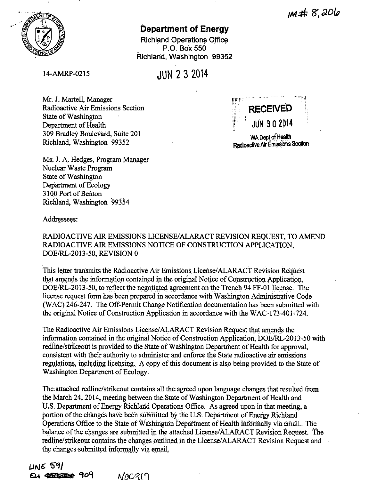$10 + 8.206$ 



# **Department of Energy**

**Richland Operations Office** P.O. Box 550 Richland, Washington 99352

14-AMRP-0215

**.IIIN 2 3 2014** 

Mr. J. Martell, Manager Radioactive Air Emissions Section State of Washington Department of Health 309 Bradley Boulevard, Suite 201 Richland. Washington 99352

Ms. J. A. Hedges, Program Manager Nuclear Waste Program **State of Washington** Department of Ecology 3100 Port of Benton Richland, Washington 99354



WA Dept of Health Radioactive Air Emissions Section

Addressees:

RADIOACTIVE AIR EMISSIONS LICENSE/ALARACT REVISION REQUEST, TO AMEND RADIOACTIVE AIR EMISSIONS NOTICE OF CONSTRUCTION APPLICATION, DOE/RL-2013-50, REVISION 0

This letter transmits the Radioactive Air Emissions License/ALARACT Revision Request that amends the information contained in the original Notice of Construction Application, DOE/RL-2013-50, to reflect the negotiated agreement on the Trench 94 FF-01 license. The license request form has been prepared in accordance with Washington Administrative Code (WAC) 246-247. The Off-Permit Change Notification documentation has been submitted with the original Notice of Construction Application in accordance with the WAC-173-401-724.

The Radioactive Air Emissions License/ALARACT Revision Request that amends the information contained in the original Notice of Construction Application, DOE/RL-2013-50 with redline/strikeout is provided to the State of Washington Department of Health for approval, consistent with their authority to administer and enforce the State radioactive air emissions regulations, including licensing. A copy of this document is also being provided to the State of Washington Department of Ecology.

The attached redline/strikeout contains all the agreed upon language changes that resulted from the March 24, 2014, meeting between the State of Washington Department of Health and U.S. Department of Energy Richland Operations Office. As agreed upon in that meeting, a portion of the changes have been submitted by the U.S. Department of Energy Richland Operations Office to the State of Washington Department of Health informally via email. The balance of the changes are submitted in the attached License/ALARACT Revision Request. The redline/strikeout contains the changes outlined in the License/ALARACT Revision Request and the changes submitted informally via email.

 $LSE$  591 EU 4325 552 909  $NOCQ(1)$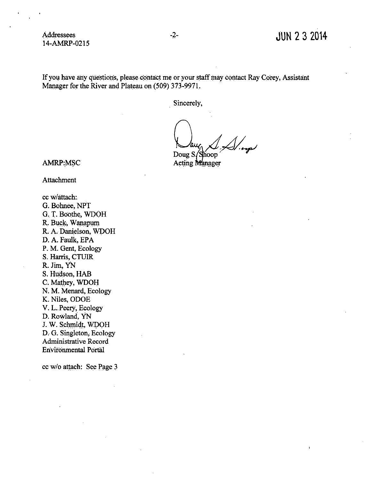If you have any questions, please contact me or your staff may contact Ray Corey, Assistant Manager for the River and Plateau on (509) 373-9971.

. Sincerely,

 $\sim$  aug  $\frac{1}{\sqrt{2}}$ 

Acting Manager

AMRP:MSC

Attachment

cc w/attach: G. Bohnee, NPT G. T. Boothe, WDOH R. Buck, Wanapum R, A. Danielson, WDOH D. A. Faulk, EPA P. M. Gent, Ecology S. Harris, CTUIR R. Jim, YN S. Hudson, HAB C. Mathey, WDOH N. M. Menard, Ecology K. Niles, ODOE V. L..Peery, Ecology D. Rowland, YN J. W. Schmidt, WDOH D. G. Singleton, Ecology Administrative Record Environmental Portal

cc w/o attach: See Page 3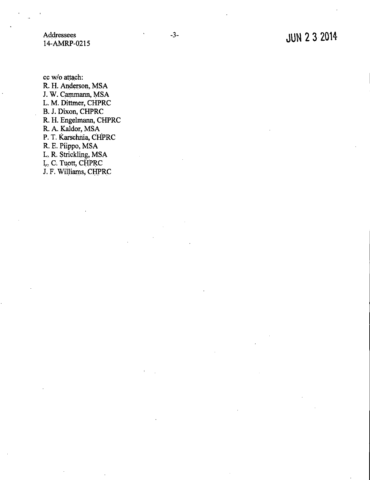Addressees 14-AMRP-0215

cc w/o attach: R. H. Anderson, MSA J. W. Cammann, MSA L. M. Dittmer, CHPRC B. J. Dixon, CHPRC R. H. Engelmann, CHPRC R. A. Kaldor, MSA P. T. Karschnia, CHPRC R. E. Piippo, MSA L. R. Strickling, MSA L. C. Tuott, CHPRC J. F. Williams, CHPRC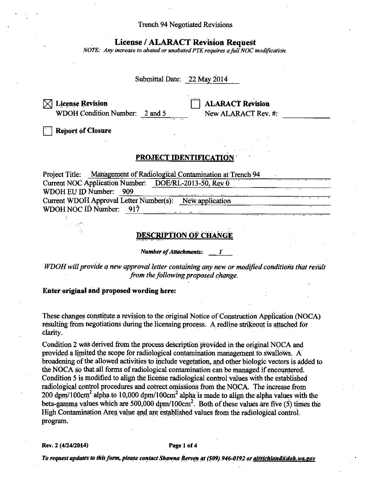### **Trench 94 Negotiated Revisions**

# **License / ALARACT Revision Request**

NOTE: Any increase to abated or unabated PTE requires a full NOC modification.

# Submittal Date: 22 May 2014

 $[\times]$  License Revision WDOH Condition Number: 2 and 5 **ALARACT Revision** New ALARACT Rev. #:

**Report of Closure** 

# **PROJECT IDENTIFICATION**

Project Title: Management of Radiological Contamination at Trench 94 Current NOC Application Number: DOE/RL-2013-50, Rev 0 WDOH EU ID Number: 909 Current WDOH Approval Letter Number(s): New application WDOH NOC ID Number: 917

## **DESCRIPTION OF CHANGE**

**Number of Attachments:** 

WDOH will provide a new approval letter containing any new or modified conditions that result from the following proposed change.

### Enter original and proposed wording here:

These changes constitute a revision to the original Notice of Construction Application (NOCA) resulting from negotiations during the licensing process. A redline strike out is attached for clarity.

Condition 2 was derived from the process description provided in the original NOCA and provided a limited the scope for radiological contamination management to swallows. A broadening of the allowed activities to include vegetation, and other biologic vectors is added to the NOCA so that all forms of radiological contamination can be managed if encountered. Condition 5 is modified to align the license radiological control values with the established radiological control procedures and correct omissions from the NOCA. The increase from 200 dpm/100cm<sup>2</sup> alpha to 10,000 dpm/100cm<sup>2</sup> alpha is made to align the alpha values with the beta-gamma values which are 500,000 dpm/100cm<sup>2</sup>. Both of these values are five (5) times the High Contamination Area value and are established values from the radiological control. program.

Rev. 2 (4/24/2014)

#### Page 1 of 4

To request updates to this form, please contact Shawna Berven at (509) 946-0192 or airrichland@doh.wa.gov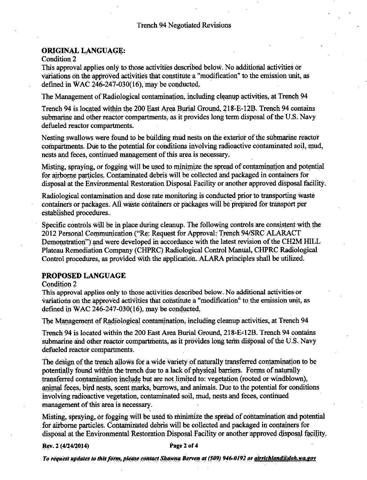# **ORIGINAL LANGUAGE:**

Condition<sub>2</sub>

This approval applies only to those activities described below. No additional activities or variations on the approved activities that constitute a "modification" to the emission unit, as defined in WAC  $246-247-030(16)$ , may be conducted.

The Management of Radiological contamination, including cleanup activities, at Trench 94

Trench 94 is located within the 200 East Area Burial Ground, 218-E-12B. Trench 94 contains submarine and other reactor compartments, as it provides long term disposal of the U.S. Navy defueled reactor compartments.

Nesting swallows were found to be building mud nests on the exterior of the submarine reactor compartments. Due to the potential for conditions involving radioactive contaminated soil, mud, nests and feces, continued management of this area is necessary.

Misting, spraying, or fogging will be used to minimize the spread of contamination and potential for airborne particles. Contaminated debris will be collected and packaged in containers for disposal at the Environmental Restoration Disposal Facility or another approved disposal facility.

Radiological contamination and dose rate monitoring is conducted prior to transporting waste containers or packages. All waste containers or packages will be prepared for transport per established procedures.

Specific controls will be in place during cleanup. The following controls are consistent with the 2012 Personal Communication ("Re: Request for Approval: Trench 94/SRC ALARACT Demonstration") and were developed in accordance with the latest revision of the CH2M HILL Plateau Remediation Company (CHPRC) Radiological Control Manual, CHPRC Radiological Control procedures, as provided with the application. ALARA principles shall be utilized.

# PROPOSED LANGUAGE

### Condition 2

This approval applies only to those activities described below. No additional activities or variations on the approved activities that constitute a "modification" to the emission unit, as defined in WAC  $246-247-030(16)$ , may be conducted.

The Management of Radiological contamination, including cleanup activities, at Trench 94

Trench 94 is located within the 200 East Area Burial Ground, 218-E=12B. Trench 94 contains submarine and other reactor compartments, as it provides long term disposal of the U.S. Navy defueled reactor compartments.

The design of the trench allows for a wide variety of naturally transferred contamination to be potentially found within the trench due to a lack of physical barriers. Forms of naturally transferred contamination include but are not limited to: vegetation (rooted or windblown), animal feces, bird nests, scent marks, burrows, and animals. Due to the potential for conditions involving radioactive vegetation, contaminated soil, mud, nests and feces, continued management of this area is necessary.

Misting, spraying, or fogging will be used to minimize the spread of contamination and potential for airborne particles. Contaminated debris will be collected and packaged in containers for disposal at the Environmental Restoration Disposal Facility or another approved disposal facility.

### Rev. 2 (4/24/2014)

### Page 2 of 4

To request updates to this form, please contact Shawna Berven at (509) 946-0192 or airrichland@doh.wa.gov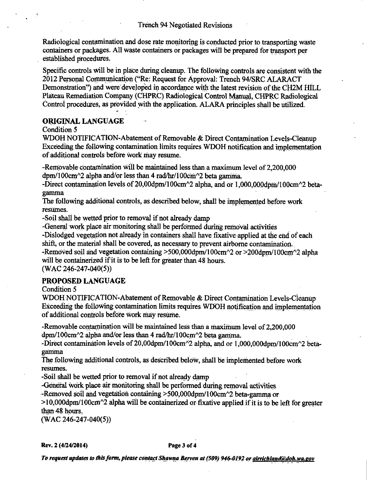Radiological contamination and dose rate monitoring is conducted prior to transporting waste containers or packages. All waste containers or packages will be prepared for transport per established procedures.

Specific controls will be in place during cleanup. The following controls are consistent with the 2012 Personal Communication ("Re: Request for Approval: Trench 94/SRC ALARACT Demonstration") and were developed in accordance with the latest revision of the CH2M HILL Plateau Remediation Company (CHPRC) Radiological Control Manual, CHPRC Radiological Control procedures, as provided with the application. ALARA principles shall be utilized.

# **ORIGINAL LANGUAGE**

Condition 5

WDOH NOTIFICATION-Abatement of Removable & Direct Contamination Levels-Cleanup Exceeding the following contamination limits requires WDOH notification and implementation of additional controls before work may resume.

-Removable contamination will be maintained less than a maximum level of 2,200,000 dpm/100cm<sup>2</sup> alpha and/or less than 4 rad/hr/100cm<sup>2</sup> beta gamma.

-Direct contamination levels of 20,00dpm/100cm^2 alpha, and or 1,000,000dpm/100cm^2 betagamma

The following additional controls, as described below, shall be implemented before work resumes.

-Soil shall be wetted prior to removal if not already damp

-General work place air monitoring shall be performed during removal activities

-Dislodged vegetation not already in containers shall have fixative applied at the end of each shift, or the material shall be covered, as necessary to prevent airborne contamination.

-Removed soil and vegetation containing >500,000dpm/100cm^2 or >200dpm/100cm^2 alpha will be containerized if it is to be left for greater than 48 hours.

 $(WAC 246-247-040(5))$ 

# **PROPOSED LANGUAGE**

Condition 5

WDOH NOTIFICATION-Abatement of Removable & Direct Contamination Levels-Cleanup Exceeding the following contamination limits requires WDOH notification and implementation of additional controls before work may resume.

-Removable contamination will be maintained less than a maximum level of 2,200,000 dpm/100cm^2 alpha and/or less than 4 rad/hr/100cm^2 beta gamma.

-Direct contamination levels of 20,00dpm/100cm^2 alpha, and or 1,000,000dpm/100cm^2 betagamma

The following additional controls, as described below, shall be implemented before work resumes.

-Soil shall be wetted prior to removal if not already damp

-General work place air monitoring shall be performed during removal activities

-Removed soil and vegetation containing >500,000dpm/100cm^2 beta-gamma or

 $>10,000$ dpm/100cm<sup> $\sim$ 2</sup> alpha will be containerized or fixative applied if it is to be left for greater than 48 hours.

 $(WAC 246-247-040(5))$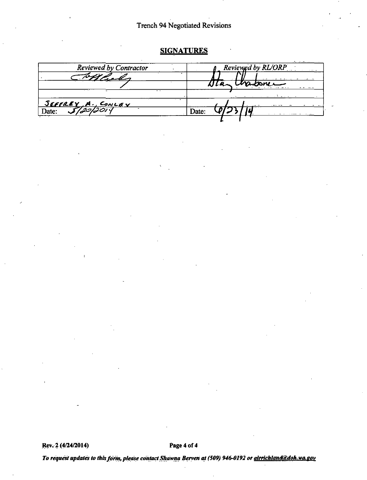# Trench 94 Negotiated Revisions

# **SIGNATURES**

| Reviewed by Contractor                      | Reviewed by RL/ORP           |  |  |
|---------------------------------------------|------------------------------|--|--|
|                                             |                              |  |  |
|                                             | untone                       |  |  |
|                                             | والمستقلب المستنبات المناسبة |  |  |
|                                             |                              |  |  |
| <u>SEFFREY A. CONLEY</u><br>Date: 5/20/2011 | <b>Date:</b>                 |  |  |
|                                             |                              |  |  |

**Rev. 2 (4/24/2014)** Page 4 of 4

*To request updates to this form, please contact Shawna Berven at (509) 946-0192 or alrrichland@doh.wa.gov*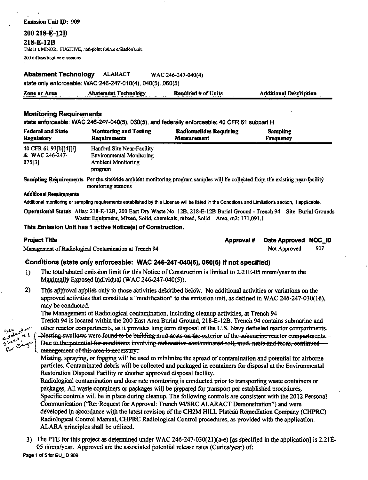**Emission Unit ID: 909** 200 218-E-12B 218-E-12B This is a MINOR, FUGITIVE, non-point source emission unit.

200 diffuse/fugitive emissions

**Abatement Technology ALARACT** WAC-246-247-040(4)

state only enforceable: WAC 246-247-010(4), 040(5), 060(5)

| Zone or Area                                                                                                                                                                                                                  | <b>Abatement Technology</b>                                                                                                                                                                                                    | <b>Required # of Units</b> | <b>Additional Description</b> |
|-------------------------------------------------------------------------------------------------------------------------------------------------------------------------------------------------------------------------------|--------------------------------------------------------------------------------------------------------------------------------------------------------------------------------------------------------------------------------|----------------------------|-------------------------------|
| a contradicts of the contract of the contract of the contract of the contract of the contract of the contract of the contract of the contract of the contract of the contract of the contract of the contract of the contract | and the contract of the contract of the contract of the contract of the contract of the contract of the contract of the contract of the contract of the contract of the contract of the contract of the contract of the contra |                            |                               |

### **Monitoring Requirements**

state enforceable: WAC 246-247-040(5), 060(5), and federally enforceable: 40 CFR 61 subpart H

| <b>Federal and State</b>                          | <b>Monitoring and Testing</b>                                                                         | <b>Radionuclides Requiring</b> | <b>Sampling</b>  |
|---------------------------------------------------|-------------------------------------------------------------------------------------------------------|--------------------------------|------------------|
| <b>Regulatory</b>                                 | <b>Requirements</b>                                                                                   | <b>Measurement</b>             | <b>Frequency</b> |
| 40 CFR 61.93[b][4][i]<br>& WAC 246-247-<br>075[3] | Hanford Site Near-Facility<br><b>Environmental Monitoring</b><br><b>Ambient Monitoring</b><br>program |                                |                  |

Sampling Requirements Per the sitewide ambient monitoring program samples will be collected from the existing near-facility monitoring stations

#### **Additional Requirements**

Additional monitoring or sampling requirements established by this License will be listed in the Conditions and Limitations section, if applicable.

Operational Status Alias: 218-E-12B, 200 East Dry Waste No. 12B, 218-E-12B Burial Ground - Trench 94 Site: Burial Grounds Waste: Equipment, Mixed, Solid, chemicals, mixed, Solid Area, m2: 171,091.1

### This Emission Unit has 1 active Notice(s) of Construction.

#### **Project Title**

Management of Radiological Contamination at Trench 94

| Approval # Date Approved NOC_ID |  |
|---------------------------------|--|
|                                 |  |

917 Not Approved

### Conditions (state only enforceable: WAC 246-247-040(5), 060(5) if not specified)

- $\bf{1}$ The total abated emission limit for this Notice of Construction is limited to 2.21E-05 mrem/year to the Maximally Exposed Individual (WAC 246-247-040(5)).
- 2) This approval applies only to those activities described below. No additional activities or variations on the approved activities that constitute a "modification" to the emission unit, as defined in WAC 246-247-030(16), may be conducted.

The Management of Radiological contamination, including cleanup activities, at Trench 94

Trench 94 is located within the 200 East Area Burial Ground, 218-E-12B. Trench 94 contains submarine and

other reactor compartments, as it provides long term disposal of the U.S. Navy defueled reactor compartments, Nesting swallows were found to be building mud nests on the exterior of the submarine reactor compartments. Due to the potential for conditions involving radioactive contaminated soil, mud, nests and feces, continued management of this area is necessary.

Misting, spraying, or fogging will be used to minimize the spread of contamination and potential for airborne particles. Contaminated debris will be collected and packaged in containers for disposal at the Environmental Restoration Disposal Facility or another approved disposal facility.

Radiological contamination and dose rate monitoring is conducted prior to transporting waste containers or packages. All waste containers or packages will be prepared for transport per established procedures. Specific controls will be in place during cleanup. The following controls are consistent with the 2012 Personal Communication ("Re: Request for Approval: Trench 94/SRC ALARACT Demonstration") and were developed in accordance with the latest revision of the CH2M HILL Plateau Remediation Company (CHPRC) Radiological Control Manual, CHPRC Radiological Control procedures, as provided with the application. ALARA principles shall be utilized.

3) The PTE for this project as determined under WAC 246-247-030(21)(a-e) [as specified in the application] is 2.21E-05 mrem/year. Approved are the associated potential release rates (Curies/year) of: Page 1 of 5 for EU\_ID 909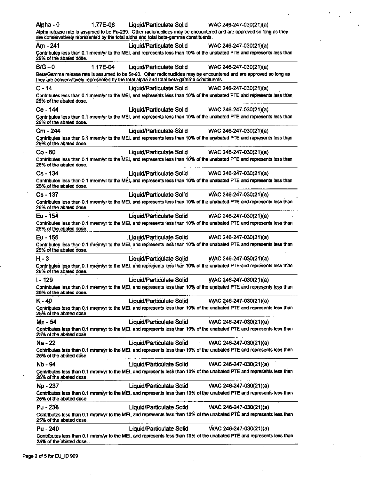| Alpha - 0                                                                                 | 1.77E-08 | Liquid/Particulate Solid        | WAC 246-247-030(21)(a)                                                                                                  |
|-------------------------------------------------------------------------------------------|----------|---------------------------------|-------------------------------------------------------------------------------------------------------------------------|
| are conservatively represented by the total alpha and total beta-gamma constituents.      |          |                                 | Alpha release rate is assumed to be Pu-239. Other radionuclides may be encountered and are approved so long as they     |
| Am - 241                                                                                  |          | Liquid/Particulate Solid        | WAC 246-247-030(21)(a)                                                                                                  |
| 25% of the abated dose.                                                                   |          |                                 | Contributes less than 0.1 mrem/yr to the MEI, and represents less than 10% of the unabated PTE and represents less than |
| $B/G - 0$                                                                                 | 1.17E-04 | Liquid/Particulate Solid        | WAC 246-247-030(21)(a)                                                                                                  |
| they are conservatively represented by the total alpha and total beta-gamma constituents. |          |                                 | Beta/Gamma release rate is assumed to be Sr-90. Other radionuclides may be encountered and are approved so long as      |
| $C - 14$                                                                                  |          | Liquid/Particulate Solid        | WAC 246-247-030(21)(a)                                                                                                  |
| 25% of the abated dose.                                                                   |          |                                 | Contributes less than 0.1 mrem/yr to the MEI, and represents less than 10% of the unabated PTE and represents less than |
| Ce - 144                                                                                  |          | Liquid/Particulate Solid        | WAC 246-247-030(21)(a)                                                                                                  |
| 25% of the abated dose.                                                                   |          |                                 | Contributes less than 0.1 mrem/yr to the MEI, and represents less than 10% of the unabated PTE and represents less than |
| Cm - 244                                                                                  |          | Liquid/Particulate Solid        | WAC 246-247-030(21)(a)                                                                                                  |
| 25% of the abated dose.                                                                   |          |                                 | Contributes less than 0.1 mrem/yr to the MEI, and represents less than 10% of the unabated PTE and represents less than |
| Co - 60                                                                                   |          | <b>Liquid/Particulate Solid</b> | WAC 246-247-030(21)(a)                                                                                                  |
| 25% of the abated dose.                                                                   |          |                                 | Contributes less than 0.1 mrem/yr to the MEI, and represents less than 10% of the unabated PTE and represents less than |
| Cs - 134                                                                                  |          | <b>Liquid/Particulate Solid</b> | WAC 246-247-030(21)(a)                                                                                                  |
| 25% of the abated dose.                                                                   |          |                                 | Contributes less than 0.1 mrem/yr to the MEI, and represents less than 10% of the unabated PTE and represents less than |
| $Cs - 137$                                                                                |          | Liquid/Particulate Solid        | WAC 246-247-030(21)(a)                                                                                                  |
| 25% of the abated dose.                                                                   |          |                                 | Contributes less than 0.1 mrem/yr to the MEI, and represents less than 10% of the unabated PTE and represents less than |
| Eu - 154                                                                                  |          | Liquid/Particulate Solid        | WAC 246-247-030(21)(a)                                                                                                  |
| 25% of the abated dose.                                                                   |          |                                 | Contributes less than 0.1 mrem/yr to the MEI, and represents less than 10% of the unabated PTE and represents less than |
| Eu - 155                                                                                  |          | Liquid/Particulate Solid        | WAC 246-247-030(21)(a)                                                                                                  |
| 25% of the abated dose.                                                                   |          |                                 | Contributes less than 0.1 mrem/yr to the MEI, and represents less than 10% of the unabated PTE and represents less than |
| $H - 3$                                                                                   |          | Liquid/Particulate Solid        | WAC 246-247-030(21)(a)                                                                                                  |
| 25% of the abated dose.                                                                   |          |                                 | Contributes less than 0.1 mrem/yr to the MEI, and represents less than 10% of the unabated PTE and represents less than |
| $1 - 129$                                                                                 |          | Liquid/Particulate Solid        | WAC 246-247-030(21)(a)                                                                                                  |
| 25% of the abated dose.                                                                   |          |                                 | Contributes less than 0.1 mrem/yr to the MEI, and represents less than 10% of the unabated PTE and represents less than |
| K - 40                                                                                    |          | <b>Liquid/Particulate Solid</b> | WAC 246-247-030(21)(a)                                                                                                  |
| 25% of the abated dose.                                                                   |          |                                 | Contributes less than 0.1 mrem/yr to the MEI, and represents less than 10% of the unabated PTE and represents less than |
| Mn-54                                                                                     |          | Liquid/Particulate Solid        | WAC 246-247-030(21)(a)                                                                                                  |
| 25% of the abated dose.                                                                   |          |                                 | Contributes less than 0.1 mrem/yr to the MEI, and represents less than 10% of the unabated PTE and represents less than |
| Na - 22                                                                                   |          | <b>Liquid/Particulate Solid</b> | WAC 246-247-030(21)(a)                                                                                                  |
| 25% of the abated dose.                                                                   |          |                                 | Contributes less than 0.1 mrem/yr to the MEI, and represents less than 10% of the unabated PTE and represents less than |
| Nb - 94                                                                                   |          | <b>Liquid/Particulate Solid</b> | WAC 246-247-030(21)(a)                                                                                                  |
| 25% of the abated dose.                                                                   |          |                                 | Contributes less than 0.1 mrem/yr to the MEI, and represents less than 10% of the unabated PTE and represents less than |
| Np - 237                                                                                  |          | Liquid/Particulate Solid        | WAC 246-247-030(21)(a)                                                                                                  |
| 25% of the abated dose.                                                                   |          |                                 | Contributes less than 0.1 mrem/yr to the MEI, and represents less than 10% of the unabated PTE and represents less than |
| $Pu - 238$                                                                                |          | <b>Liquid/Particulate Solid</b> | WAC 246-247-030(21)(a)                                                                                                  |
| 25% of the abated dose.                                                                   |          |                                 | Contributes less than 0.1 mrem/yr to the MEI, and represents less than 10% of the unabated PTE and represents less than |
| Pu - 240                                                                                  |          | <b>Liquid/Particulate Solid</b> | WAC 246-247-030(21)(a)                                                                                                  |
| 25% of the abated dose.                                                                   |          |                                 | Contributes less than 0.1 mrem/yr to the MEI, and represents less than 10% of the unabated PTE and represents less than |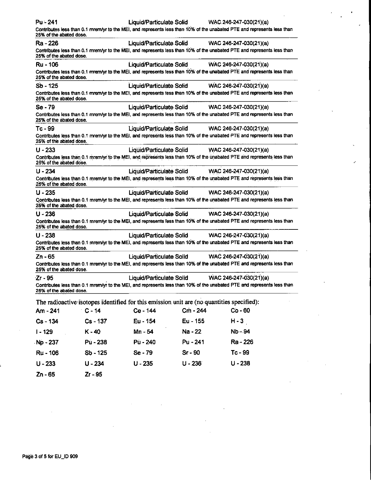| Pu - 241                |            |                          |           | Liquid/Particulate Solid WAC 246-247-030(21)(a)                                                                         |
|-------------------------|------------|--------------------------|-----------|-------------------------------------------------------------------------------------------------------------------------|
| 25% of the abated dose. |            |                          |           | Contributes less than 0.1 mrem/yr to the MEI, and represents less than 10% of the unabated PTE and represents less than |
| Ra - 226                |            | Liquid/Particulate Solid |           | WAC 246-247-030(21)(a)                                                                                                  |
| 25% of the abated dose. |            |                          |           | Contributes less than 0.1 mrem/yr to the MEI, and represents less than 10% of the unabated PTE and represents less than |
| Ru - 106                |            | Liquid/Particulate Solid |           | WAC 246-247-030(21)(a)                                                                                                  |
| 25% of the abated dose. |            |                          |           | Contributes less than 0.1 mrem/yr to the MEI, and represents less than 10% of the unabated PTE and represents less than |
| Sb - 125                |            | Liquid/Particulate Solid |           | WAC 246-247-030(21)(a)                                                                                                  |
| 25% of the abated dose. |            |                          |           | Contributes less than 0.1 mrem/yr to the MEI, and represents less than 10% of the unabated PTE and represents less than |
| Se - 79                 |            | Liquid/Particulate Solid |           | WAC 246-247-030(21)(a)                                                                                                  |
| 25% of the abated dose. |            |                          |           | Contributes less than 0.1 mrem/yr to the MEI, and represents less than 10% of the unabated PTE and represents less than |
| Tc - 99                 |            | Liquid/Particulate Solid |           | WAC 246-247-030(21)(a)                                                                                                  |
| 25% of the abated dose. |            |                          |           | Contributes less than 0.1 mrem/yr to the MEI, and represents less than 10% of the unabated PTE and represents less than |
| $U - 233$               |            | Liquid/Particulate Solid |           | WAC 246-247-030(21)(a)                                                                                                  |
| 25% of the abated dose. |            |                          |           | Contributes less than 0.1 mrem/yr to the MEI, and represents less than 10% of the unabated PTE and represents less than |
| $U - 234$               |            | Liquid/Particulate Solid |           | WAC 246-247-030(21)(a)                                                                                                  |
| 25% of the abated dose. |            |                          |           | Contributes less than 0.1 mrem/yr to the MEI, and represents less than 10% of the unabated PTE and represents less than |
| $U - 235$               |            |                          |           | Liquid/Particulate Solid WAC 246-247-030(21)(a)                                                                         |
| 25% of the abated dose. |            |                          |           | Contributes less than 0.1 mrem/yr to the MEI, and represents less than 10% of the unabated PTE and represents less than |
| $U - 236$               |            |                          |           | Liquid/Particulate Solid WAC 246-247-030(21)(a)                                                                         |
| 25% of the abated dose. |            |                          |           | Contributes less than 0.1 mrem/yr to the MEI, and represents less than 10% of the unabated PTE and represents less than |
| $U - 238$               |            |                          |           | Liquid/Particulate Solid WAC 246-247-030(21)(a)                                                                         |
| 25% of the abated dose. |            |                          |           | Contributes less than 0.1 mrem/yr to the MEI, and represents less than 10% of the unabated PTE and represents less than |
| Zn - 65                 |            | Liquid/Particulate Solid |           | WAC 246-247-030(21)(a)                                                                                                  |
| 25% of the abated dose. |            |                          |           | Contributes less than 0.1 mrem/yr to the MEI, and represents less than 10% of the unabated PTE and represents less than |
| ·Zr - 95                |            | Liquid/Particulate Solid |           | WAC 246-247-030(21)(a)                                                                                                  |
| 25% of the abated dose. |            |                          |           | Contributes less than 0.1 mrem/yr to the MEI, and represents less than 10% of the unabated PTE and represents less than |
|                         |            |                          |           | The radioactive isotopes identified for this emission unit are (no quantities specified):                               |
| Am - 241                | $C - 14$   | Ce - 144                 | Cm - 244  | $Co - 60$                                                                                                               |
| Cs-134                  | Cs - 137   | Eu - 154                 | Eu - 155  | $H - 3$                                                                                                                 |
| $1 - 129$               | $K - 40$   | Mn - 54                  | Na - 22   | <b>Nb-94</b>                                                                                                            |
| Np - 237                | Pu - 238   | Pù - 240                 | Pu - 241  | Ra - 226                                                                                                                |
| Ru - 106                | $Sb - 125$ | Se - 79                  | $Sr - 90$ | $Tc - 99$                                                                                                               |
| 11.222                  | LL 994     | <b>11 995</b>            | 11.22     | 11.022                                                                                                                  |

233  $Zn - 65$  $Zr - 95$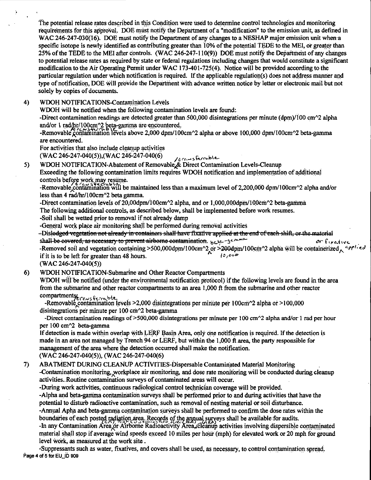The potential release rates described in this Condition were used to determine control technologies and monitoring requirements for this approval. DOE must notify the Department of a "modification" to the emission unit, as defined in WAC.246-247-030(16). DOE must notify the Department of any changes to a NESHAP major emission unit when a specific isotope is newly identified as contributing greater than  $10\%$  of the potential TEDE to the MEI, or greater than 25% of the TEDE to the MEI after controls. (WAC 246-247-110(9)) DOE must notify the Department of any changes to potential release rates as required by state or federal regulations including changes that would constitute a significant modification to the Air Operating Permit under WAC 173-401-725(4). Notice will be provided according to the particular regulation under which notification is required. If the applicable regulation(s) does not address manner and type of notification, DOE will provide the Department with advance written notice by letter or electronic mail but not solely by copies of documents.

4) WDOH NOTIFICATIONS-Contamination Levels

WDOH will be notified when the following contamination levels are found:

-Direct contamination readings are detected greater than 500,000 disintegrations per minute ( $dpm$ )/100 cm<sup> $\gamma$ </sup>2 alpha and/or 1 rad/hr/100cm^2 beta-gamma are encountered.

-Removable contamination levels above 2,000 dpm/100cm^2 alpha or above 100,000 dpm/100cm^2 beta-gamma are encountered.

For activities that also include cleanup activities

(WAC 246-247-040(5)),(WAC 246-247-040(6) */transferrable* 

WDOH NOTIFICATION-Abatement of Removable, & Direct Contamination Levels-Cleanup Exceeding the following contamination limits requires WDOH notification and implementation of additional controls before work may resume.

-Removable contamination will be maintained less than a maximum level of 2,200,000 dpm/100cm^2 alpha and/or less than 4 rad/hr/I 00cm"2 beta gamma.

-Direct contamination levels of 20,000pm/100cm $\gamma$ 2 alpha, and or 1,000,000dpm/100cm $\gamma$ 2 beta-gamma The following additional controls, as described below, shall be implemented before work resumes.

-Soil shall be wetted prior to removal if not already damp

-General work place air monitoring shall be performed during removal activities

-Dislodged vegetation not already in containers-shall have fixative applied at the end of each shift, or the material shall-be-covered, as necessary to prevent airborne contamination. below  $\alpha$  is a second  $\alpha$  fixed we

-Removed soil and vegetation containing >500,000dpm/100cm^2 or >200dpm/100cm^2 alpha will be containerized,  $c$ rr<sup>1</sup> $i$ ed if it is to be left for greater than 48 hours.  $\int_{Q_1}^{R_2}$   $\int_{Q_2}^{Q_3}$ 

 $(WAC 246 - 247 - 040(5))$ 

5)

6) WOOH NOTIFICATION-Submarine and Other Reactor Compartments

WDOH will be notified (under the environmental notification protocol) if the following levels are found in the area from the submarine and other reactor compartments to an area 1,000 ft from the submarine and other reactor

compartments.<br>-Removable\_contamination levels >2,000 disintegrations per minute per 100cm^2 alpha or >100,000 disintegrations per minute per  $100 \text{ cm}^2$  beta-gamma

-Direct contamination readings of  $>500,000$  disintegrations per minute per 100 cm $\approx$  alpha and/or 1 rad per hour per 100 cm<sup>2</sup> beta-gamma

If detection is made within overlap with LERF Basin Area, only one notification is required. If the detection is made in an area not managed by Trench 94 or LERF, but within the 1,000 ft area, the party responsible for management of the area where ihe detection occurred shall make the notification.

(WAC 246-247-040(5)), (WAC 246-247-040(6)

7) ABA TMENT DURING CLEANUP ACTIVITIES-Dispersable Contaminated Material Monitoring -Contamination monitoring, workplace air monitoring, and dose rate monitoring will be conducted during cleanup activities. Routine contamination surveys of contaminated areas will occur.

-During work activities, continuous radioiogical control tec\_l\_!\_nician coverage **will** be provided.

-Alpha and beta-gamma contamination surveys shall be performed prior to and during activities that have the potential to disturb radioactive contamination, such as removal of nesting material or soil disturbance.

-Annual Apha and beta-gamma contamination surveys shall be performed to confirm the dose rates within the

boundaries of each posted radiation area. Records of the annual surveys shall be available for audits.<br>-In any Contamination Area or Airborne Radioactivity Area, cleanup activities involving dispersible contaminated material shall stop if average wind speeds exceed 10 miles per hour (mph) for elevated work or 20 mph for ground level work, as measured at the work site .

<sup>0</sup> Suppressants such as water, fixatives, and covers shall be used, as necessary, to control contamination.spread. Page 4 of 5 for EU\_ID 909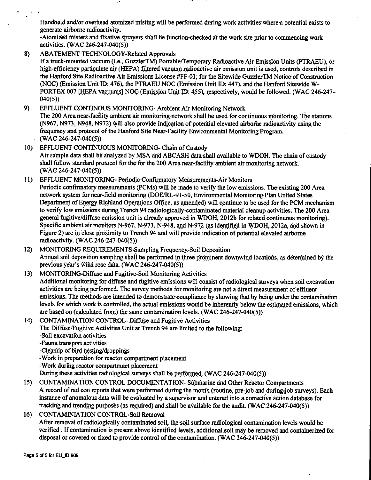Handheld and/or overhead atomized misting will be performed during work activities:where a potential exists to generate airborne radioactivity.

-Atomized misters and fixative sprayers shall be function-checked at the work site prior to commencing work activities. (WAC 246-247-040(5)) ·

8) ABATEMENT TECHNOLOGY-Related Approvals

If a truck-mounted vacuum (i.e., GuzzlerTM) Portable/Temporary Radioactive Air Emission Units (PTRAEU), or high-efficiency particulate air (HEPA) filtered vacuum radioactive air emission unit is used, controls described in the Hanford Site Radioactive Air Emissions License #FF-0 I; for the Sitewide Guzzler TM Notice of Construction (NOC) (Emission Unit ID: 476), the PTRAEU NOC (Emission Unit ID: 447), and the Hanford Sitewide W-PORTEX 007 [HEPA vacuums] NOC (Emission Unit ID: 455), respectively, would be followed. (WAC 246-247-040(5))

- 9) EFFLUENT CONTINOUS MONITORING- Ambient Air Monitoring Network The 200 Area near-facility ambient air monitoring network shall be used for continuous monitoring. The stations (N967, N973, N948, N972) will also provide indication of potential elevated airborne radioactivity using the frequency and protocol of the Hanford Site Near°Facility Environmental Monitoring Program. (WAC 246-247-040(5))
- 10) EFFLUENT CONTINUOUS MONITORING- Chain of Custody Air sample data shall be analyzed by MSA and ABCASH data shall available to WDOH. The chain of custody shall follow standard protocol for the for the 200 Area near-facility ambient air monitoring network. (WAC 246-247-040(5))
- 11) EFFLUENT MONITORING- Periodic Confirmatory Measurements-Air Monitors Periodic confirmatory measurements (PCMs) will be made to verify the low emissions. The existing 200 Area network system for near-field monitoring (DOE/RL-91-50, Environmental Monitoring Plan United States Department of Energy Richland Operations Office, as amended) will continue to be used for the PCM mechanism to verify low emissions during Trench 94 radiologically-contaminated material cleanup activities. The 200 Area general fugitive/diffuse emission unit is already approved in WDOH, 2012b for related continuous monitoring). Specific ambient air monitors N-967, N-973, N-948, and N-972 (as identified in WDOH, 2012a, and shown in Figure 2) are in close proximity to Trench 94 and will provide indication of potential elevated airborne radioactivity. (WAC 246-247-040(5))
- 12) MONITORING REQUIREMENTS-Sampling Frequency-Soil Deposition Annual soil deposition sampling shall be performed in three prominent downwind locations, as determined by the previous year's wind rose data. (WAC 246-247-040(5))
- 13) MONITORING-Diffuse and Fugitive-Soil Monitoring Activities Additional monitoring for diffuse and fugitive emissions will consist of radiological surveys when soil excavation activities are being performed. The survey methods for monitoring are not a direct measurement of effluent emissions. The methods are intended to demonstrate compliance by showing that by being under the contamination levels for which work is controlled, the actual emissions would be inherently below the estimated emissions, which are based on (calculated from) the same contamination levels. **(WAC 246-247-040(5))**
- 14) CONTAMINATION CONTROL- Diffuse and Fugitive Activities The Diffuse/Fugitive Activities Unit at Trench 94 are limited to the following: -Soil excavation activities
	- -Fauna transport activities

-Cleanup of bird nesting/droppings

- -Work in preparation for reactor compartment placement
- -Work during reactor compartmnet placement

During these activities radiological surveys shall be performed. (WAC 246-247-040(5))

- 15) CONTAMINATION CONTROL DOCUMENTATION- Submarine and Other Reactor Compartments . A record of rad con reports that were performed during the month (routine, pre-job and during-job surveys). Each instance of anomalous data will be evaluated by a supervisor and entered into a corrective action database for tracking and trending purposes (as required) and.shall be available for the audit. (WAC246-247-040(5))
- 16) CONTAMINIATION CONTROL-Soil Removal After removal of radiologically contaminated soil, the soil surface radiological contamination levels would be verffied . If contamination is present above identified levels, additional.soil may be removed and contaioerized for disposal or covered or fixed to provide control of the contamination. (WAC 246-247-040(5))